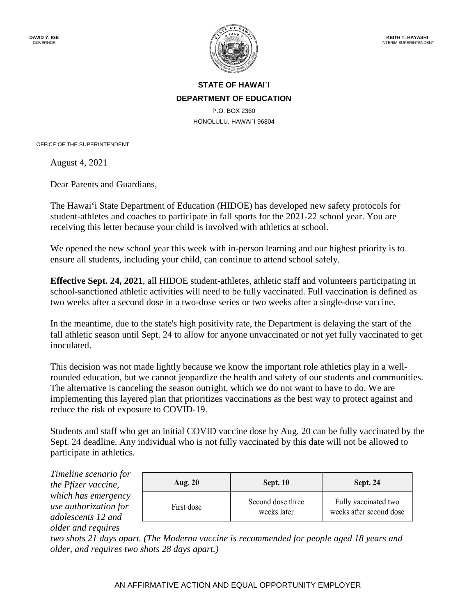

## **STATE OF HAWAI`I DEPARTMENT OF EDUCATION**

P.O. BOX 2360 HONOLULU, HAWAI`I 96804

OFFICE OF THE SUPERINTENDENT

August 4, 2021

Dear Parents and Guardians,

The Hawai'i State Department of Education (HIDOE) has developed new safety protocols for student-athletes and coaches to participate in fall sports for the 2021-22 school year. You are receiving this letter because your child is involved with athletics at school.

We opened the new school year this week with in-person learning and our highest priority is to ensure all students, including your child, can continue to attend school safely.

**Effective Sept. 24, 2021**, all HIDOE student-athletes, athletic staff and volunteers participating in school-sanctioned athletic activities will need to be fully vaccinated. Full vaccination is defined as two weeks after a second dose in a two-dose series or two weeks after a single-dose vaccine.

In the meantime, due to the state's high positivity rate, the Department is delaying the start of the fall athletic season until Sept. 24 to allow for anyone unvaccinated or not yet fully vaccinated to get inoculated.

This decision was not made lightly because we know the important role athletics play in a wellrounded education, but we cannot jeopardize the health and safety of our students and communities. The alternative is canceling the season outright, which we do not want to have to do. We are implementing this layered plan that prioritizes vaccinations as the best way to protect against and reduce the risk of exposure to COVID-19.

Students and staff who get an initial COVID vaccine dose by Aug. 20 can be fully vaccinated by the Sept. 24 deadline. Any individual who is not fully vaccinated by this date will not be allowed to participate in athletics.

*Timeline scenario for the Pfizer vaccine, which has emergency use authorization for adolescents 12 and older and requires* 

| <b>Aug. 20</b> | <b>Sept. 10</b>                  | <b>Sept. 24</b>                                 |
|----------------|----------------------------------|-------------------------------------------------|
| First dose     | Second dose three<br>weeks later | Fully vaccinated two<br>weeks after second dose |

*two shots 21 days apart. (The Moderna vaccine is recommended for people aged 18 years and older, and requires two shots 28 days apart.)*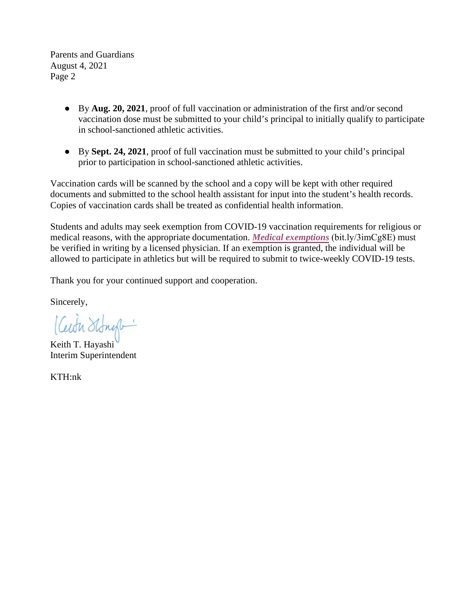Parents and Guardians August 4, 2021 Page 2

- By **Aug. 20, 2021**, proof of full vaccination or administration of the first and/or second vaccination dose must be submitted to your child's principal to initially qualify to participate in school-sanctioned athletic activities.
- By **Sept. 24, 2021**, proof of full vaccination must be submitted to your child's principal prior to participation in school-sanctioned athletic activities.

Vaccination cards will be scanned by the school and a copy will be kept with other required documents and submitted to the school health assistant for input into the student's health records. Copies of vaccination cards shall be treated as confidential health information.

Students and adults may seek exemption from COVID-19 vaccination requirements for religious or medical reasons, with the appropriate documentation. *[Medical exemptions](https://health.hawaii.gov/docd/files/2013/07/11-157.pdf)* (bit.ly/3imCg8E) must be verified in writing by a licensed physician. If an exemption is granted, the individual will be allowed to participate in athletics but will be required to submit to twice-weekly COVID-19 tests.

Thank you for your continued support and cooperation.

Sincerely,

(Ceiter Stongs-

Keith T. Hayashi Interim Superintendent

KTH:nk